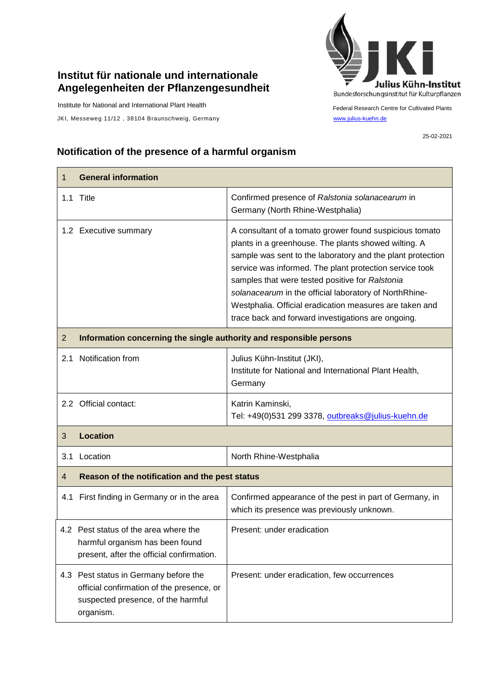## **Institut für nationale und internationale Angelegenheiten der Pflanzengesundheit**

Institute for National and International Plant Health

JKI, Messeweg 11/12, 38104 Braunschweig, Germany [www.julius-kuehn.de](http://www.julius-kuehn.de/)



Federal Research Centre for Cultivated Plants

25-02-2021

## **Notification of the presence of a harmful organism**

| $\mathbf 1$    | <b>General information</b>                                                                                                            |                                                                                                                                                                                                                                                                                                                                                                                                                                                                        |  |
|----------------|---------------------------------------------------------------------------------------------------------------------------------------|------------------------------------------------------------------------------------------------------------------------------------------------------------------------------------------------------------------------------------------------------------------------------------------------------------------------------------------------------------------------------------------------------------------------------------------------------------------------|--|
|                | 1.1 Title                                                                                                                             | Confirmed presence of Ralstonia solanacearum in<br>Germany (North Rhine-Westphalia)                                                                                                                                                                                                                                                                                                                                                                                    |  |
|                | 1.2 Executive summary                                                                                                                 | A consultant of a tomato grower found suspicious tomato<br>plants in a greenhouse. The plants showed wilting. A<br>sample was sent to the laboratory and the plant protection<br>service was informed. The plant protection service took<br>samples that were tested positive for Ralstonia<br>solanacearum in the official laboratory of NorthRhine-<br>Westphalia. Official eradication measures are taken and<br>trace back and forward investigations are ongoing. |  |
| 2              | Information concerning the single authority and responsible persons                                                                   |                                                                                                                                                                                                                                                                                                                                                                                                                                                                        |  |
| 2.1            | Notification from                                                                                                                     | Julius Kühn-Institut (JKI),<br>Institute for National and International Plant Health,<br>Germany                                                                                                                                                                                                                                                                                                                                                                       |  |
|                | 2.2 Official contact:                                                                                                                 | Katrin Kaminski,<br>Tel: +49(0)531 299 3378, outbreaks@julius-kuehn.de                                                                                                                                                                                                                                                                                                                                                                                                 |  |
| 3              | <b>Location</b>                                                                                                                       |                                                                                                                                                                                                                                                                                                                                                                                                                                                                        |  |
| 3.1            | Location                                                                                                                              | North Rhine-Westphalia                                                                                                                                                                                                                                                                                                                                                                                                                                                 |  |
| $\overline{4}$ | Reason of the notification and the pest status                                                                                        |                                                                                                                                                                                                                                                                                                                                                                                                                                                                        |  |
| 4.1            | First finding in Germany or in the area                                                                                               | Confirmed appearance of the pest in part of Germany, in<br>which its presence was previously unknown.                                                                                                                                                                                                                                                                                                                                                                  |  |
|                | 4.2 Pest status of the area where the<br>harmful organism has been found<br>present, after the official confirmation.                 | Present: under eradication                                                                                                                                                                                                                                                                                                                                                                                                                                             |  |
|                | 4.3 Pest status in Germany before the<br>official confirmation of the presence, or<br>suspected presence, of the harmful<br>organism. | Present: under eradication, few occurrences                                                                                                                                                                                                                                                                                                                                                                                                                            |  |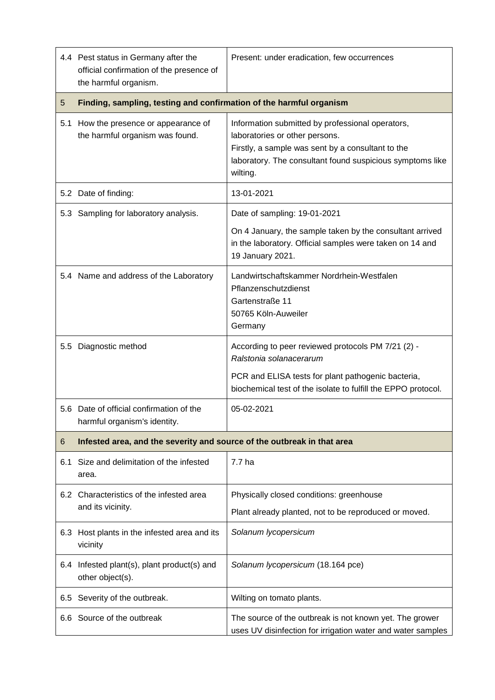|     | 4.4 Pest status in Germany after the<br>official confirmation of the presence of<br>the harmful organism. | Present: under eradication, few occurrences                                                                                                                                                                      |  |
|-----|-----------------------------------------------------------------------------------------------------------|------------------------------------------------------------------------------------------------------------------------------------------------------------------------------------------------------------------|--|
| 5   | Finding, sampling, testing and confirmation of the harmful organism                                       |                                                                                                                                                                                                                  |  |
| 5.1 | How the presence or appearance of<br>the harmful organism was found.                                      | Information submitted by professional operators,<br>laboratories or other persons.<br>Firstly, a sample was sent by a consultant to the<br>laboratory. The consultant found suspicious symptoms like<br>wilting. |  |
|     | 5.2 Date of finding:                                                                                      | 13-01-2021                                                                                                                                                                                                       |  |
|     | 5.3 Sampling for laboratory analysis.                                                                     | Date of sampling: 19-01-2021                                                                                                                                                                                     |  |
|     |                                                                                                           | On 4 January, the sample taken by the consultant arrived<br>in the laboratory. Official samples were taken on 14 and<br>19 January 2021.                                                                         |  |
|     | 5.4 Name and address of the Laboratory                                                                    | Landwirtschaftskammer Nordrhein-Westfalen<br>Pflanzenschutzdienst<br>Gartenstraße 11<br>50765 Köln-Auweiler<br>Germany                                                                                           |  |
|     | 5.5 Diagnostic method                                                                                     | According to peer reviewed protocols PM 7/21 (2) -<br>Ralstonia solanacerarum                                                                                                                                    |  |
|     |                                                                                                           | PCR and ELISA tests for plant pathogenic bacteria,<br>biochemical test of the isolate to fulfill the EPPO protocol.                                                                                              |  |
|     | 5.6 Date of official confirmation of the<br>harmful organism's identity.                                  | 05-02-2021                                                                                                                                                                                                       |  |
| 6   | Infested area, and the severity and source of the outbreak in that area                                   |                                                                                                                                                                                                                  |  |
| 6.1 | Size and delimitation of the infested<br>area.                                                            | 7.7 ha                                                                                                                                                                                                           |  |
|     | 6.2 Characteristics of the infested area<br>and its vicinity.                                             | Physically closed conditions: greenhouse                                                                                                                                                                         |  |
|     |                                                                                                           | Plant already planted, not to be reproduced or moved.                                                                                                                                                            |  |
|     | 6.3 Host plants in the infested area and its<br>vicinity                                                  | Solanum lycopersicum                                                                                                                                                                                             |  |
|     | 6.4 Infested plant(s), plant product(s) and<br>other object(s).                                           | Solanum lycopersicum (18.164 pce)                                                                                                                                                                                |  |
|     | 6.5 Severity of the outbreak.                                                                             | Wilting on tomato plants.                                                                                                                                                                                        |  |
|     | 6.6 Source of the outbreak                                                                                | The source of the outbreak is not known yet. The grower<br>uses UV disinfection for irrigation water and water samples                                                                                           |  |